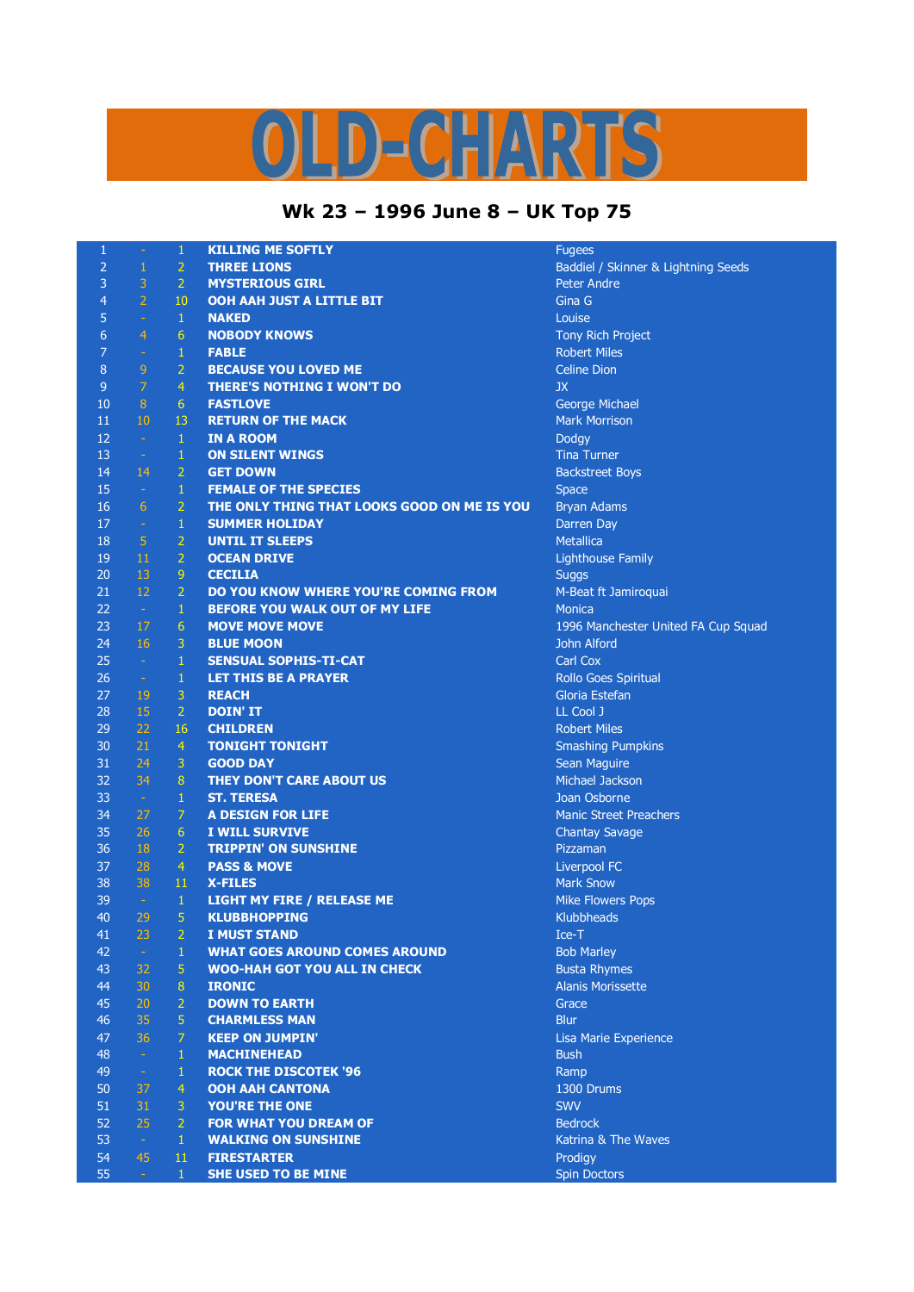## D-CHARTS

## **Wk 23 – 1996 June 8 – UK Top 75**

| $\mathbf{1}$   | $\rightarrow$  | $\mathbf{1}$   | <b>KILLING ME SOFTLY</b>                    | <b>Fugees</b>                       |
|----------------|----------------|----------------|---------------------------------------------|-------------------------------------|
| 2              | $\mathbf{1}$   | $\overline{2}$ | <b>THREE LIONS</b>                          | Baddiel / Skinner & Lightning Seeds |
| 3              | 3              | $\overline{2}$ | <b>MYSTERIOUS GIRL</b>                      | <b>Peter Andre</b>                  |
| 4              | $\overline{2}$ | 10             | OOH AAH JUST A LITTLE BIT                   | Gina G                              |
| 5              | $\omega$       | $\mathbf{1}$   | <b>NAKED</b>                                | Louise                              |
| 6              | $\overline{4}$ | 6              | <b>NOBODY KNOWS</b>                         | Tony Rich Project                   |
| 7              | $\omega$       | $\,1\,$        | <b>FABLE</b>                                | <b>Robert Miles</b>                 |
| 8              | 9              | $\overline{2}$ | <b>BECAUSE YOU LOVED ME</b>                 | <b>Celine Dion</b>                  |
| $\overline{9}$ | $\overline{7}$ | $\overline{4}$ | <b>THERE'S NOTHING I WON'T DO</b>           | JX                                  |
| 10             | 8              | 6              | <b>FASTLOVE</b>                             | George Michael                      |
| 11             | 10             | 13             | <b>RETURN OF THE MACK</b>                   | <b>Mark Morrison</b>                |
| 12             | $\sim$         | $\mathbf{1}$   | <b>IN A ROOM</b>                            | Dodgy                               |
| 13             | $\sim$         | $\mathbf{1}$   | <b>ON SILENT WINGS</b>                      | <b>Tina Turner</b>                  |
| 14             | 14             | 2              | <b>GET DOWN</b>                             | <b>Backstreet Boys</b>              |
| 15             | $\sim$         | $\mathbf{1}$   | <b>FEMALE OF THE SPECIES</b>                | <b>Space</b>                        |
| 16             | 6              | $\overline{2}$ | THE ONLY THING THAT LOOKS GOOD ON ME IS YOU | <b>Bryan Adams</b>                  |
| 17             | $\sim$         | $\,1\,$        | <b>SUMMER HOLIDAY</b>                       | Darren Day                          |
| 18             | 5 <sup>1</sup> | $\overline{2}$ | <b>UNTIL IT SLEEPS</b>                      | Metallica                           |
| 19             | 11             | $\overline{2}$ | <b>OCEAN DRIVE</b>                          |                                     |
| 20             | 13             | $\overline{9}$ | <b>CECILIA</b>                              | <b>Lighthouse Family</b>            |
| 21             | 12             | $\overline{2}$ | DO YOU KNOW WHERE YOU'RE COMING FROM        | <b>Suggs</b>                        |
| 22             |                |                | <b>BEFORE YOU WALK OUT OF MY LIFE</b>       | M-Beat ft Jamiroquai                |
|                | $\sim$ 1       | $\mathbf{1}$   |                                             | <b>Monica</b>                       |
| 23             | 17             | 6              | <b>MOVE MOVE MOVE</b>                       | 1996 Manchester United FA Cup Squad |
| 24             | 16             | $\mathbf{3}$   | <b>BLUE MOON</b>                            | John Alford                         |
| 25             | $\sim$ $-$     | $\mathbf{1}$   | <b>SENSUAL SOPHIS-TI-CAT</b>                | Carl Cox                            |
| 26             | $\sim$         | $\mathbf{1}$   | <b>LET THIS BE A PRAYER</b>                 | Rollo Goes Spiritual                |
| 27             | 19             | 3              | <b>REACH</b>                                | Gloria Estefan                      |
| 28             | 15             | $\overline{2}$ | <b>DOIN' IT</b>                             | LL Cool J                           |
| 29             | 22             | 16             | <b>CHILDREN</b>                             | <b>Robert Miles</b>                 |
| 30             | 21             | $\overline{4}$ | <b>TONIGHT TONIGHT</b>                      | <b>Smashing Pumpkins</b>            |
| 31             | 24             | $\mathbf{3}$   | <b>GOOD DAY</b>                             | Sean Maguire                        |
| 32             | 34             | 8              | THEY DON'T CARE ABOUT US                    | Michael Jackson                     |
| 33             | $\sim$         | $\mathbf{1}$   | <b>ST. TERESA</b>                           | Joan Osborne                        |
| 34             | 27             | 7              | <b>A DESIGN FOR LIFE</b>                    | <b>Manic Street Preachers</b>       |
| 35             | 26             | 6              | I WILL SURVIVE                              | <b>Chantay Savage</b>               |
| 36             | 18             | $\overline{2}$ | <b>TRIPPIN' ON SUNSHINE</b>                 | Pizzaman                            |
| 37             | 28             | $\overline{4}$ | <b>PASS &amp; MOVE</b>                      | <b>Liverpool FC</b>                 |
| 38             | 38             | 11             | <b>X-FILES</b>                              | <b>Mark Snow</b>                    |
| 39             | $\sim$         | $\mathbf{1}$   | <b>LIGHT MY FIRE / RELEASE ME</b>           | Mike Flowers Pops                   |
| 40             | 29             | 5              | <b>KLUBBHOPPING</b>                         | Klubbheads                          |
| 41             | 23             | $\overline{2}$ | <b>I MUST STAND</b>                         | Ice-T                               |
| 42             |                | $\mathbf{1}$   | <b>WHAT GOES AROUND COMES AROUND</b>        | <b>Bob Marley</b>                   |
| 43             | 32             | 5              | <b>WOO-HAH GOT YOU ALL IN CHECK</b>         | <b>Busta Rhymes</b>                 |
| 44             | 30             | 8              | <b>IRONIC</b>                               | <b>Alanis Morissette</b>            |
| 45             | 20             | $\overline{2}$ | <b>DOWN TO EARTH</b>                        | Grace                               |
| 46             | 35             | $\overline{5}$ | <b>CHARMLESS MAN</b>                        | <b>Blur</b>                         |
| 47             | 36             | 7              | <b>KEEP ON JUMPIN'</b>                      | Lisa Marie Experience               |
| 48             | $\sim$         | $\mathbf{1}$   | <b>MACHINEHEAD</b>                          | <b>Bush</b>                         |
| 49             | $\omega$       | $\mathbf{1}$   | <b>ROCK THE DISCOTEK '96</b>                | Ramp                                |
| 50             | 37             | $\overline{4}$ | <b>OOH AAH CANTONA</b>                      | 1300 Drums                          |
| 51             | 31             | $\mathbf{3}$   | <b>YOU'RE THE ONE</b>                       | <b>SWV</b>                          |
| 52             | 25             | $\overline{2}$ | <b>FOR WHAT YOU DREAM OF</b>                | <b>Bedrock</b>                      |
| 53             | $\sim$         | $\mathbf{1}$   | <b>WALKING ON SUNSHINE</b>                  | Katrina & The Waves                 |
| 54             | 45             | 11             | <b>FIRESTARTER</b>                          | Prodigy                             |
| 55             | $\sim$ .       | $\mathbf{1}$   | <b>SHE USED TO BE MINE</b>                  | <b>Spin Doctors</b>                 |